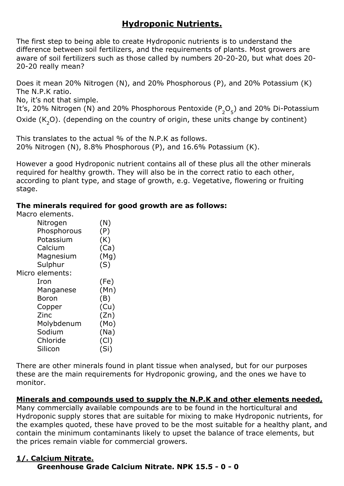## **Hydroponic Nutrients.**

The first step to being able to create Hydroponic nutrients is to understand the difference between soil fertilizers, and the requirements of plants. Most growers are aware of soil fertilizers such as those called by numbers 20-20-20, but what does 20- 20-20 really mean?

Does it mean 20% Nitrogen (N), and 20% Phosphorous (P), and 20% Potassium (K) The N.P.K ratio.

No, it's not that simple.

It's, 20% Nitrogen (N) and 20% Phosphorous Pentoxide ( $P_{2}O_{5}$ ) and 20% Di-Potassium Oxide (K<sub>2</sub>O). (depending on the country of origin, these units change by continent)

This translates to the actual % of the N.P.K as follows. 20% Nitrogen (N), 8.8% Phosphorous (P), and 16.6% Potassium (K).

However a good Hydroponic nutrient contains all of these plus all the other minerals required for healthy growth. They will also be in the correct ratio to each other, according to plant type, and stage of growth, e.g. Vegetative, flowering or fruiting stage.

### **The minerals required for good growth are as follows:**

Macro elements.

| Nitrogen        | (N)  |
|-----------------|------|
| Phosphorous     | (P)  |
| Potassium       | (K)  |
| Calcium         | (Ca) |
| Magnesium       | (Mg) |
| Sulphur         | (S)  |
| Micro elements: |      |
| Iron            | (Fe) |
| Manganese       | (Mn) |
| <b>Boron</b>    | (B)  |
| Copper          | (Cu) |
| Zinc            | (Zn) |
| Molybdenum      | (Mo) |
| Sodium          | (Na) |
| Chloride        | (Cl) |
| Silicon         | (Si) |

There are other minerals found in plant tissue when analysed, but for our purposes these are the main requirements for Hydroponic growing, and the ones we have to monitor.

### **Minerals and compounds used to supply the N.P.K and other elements needed,**

Many commercially available compounds are to be found in the horticultural and Hydroponic supply stores that are suitable for mixing to make Hydroponic nutrients, for the examples quoted, these have proved to be the most suitable for a healthy plant, and contain the minimum contaminants likely to upset the balance of trace elements, but the prices remain viable for commercial growers.

#### **1/. Calcium Nitrate. Greenhouse Grade Calcium Nitrate. NPK 15.5 - 0 - 0**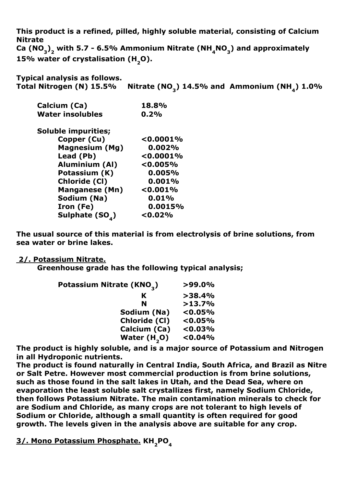**This product is a refined, pilled, highly soluble material, consisting of Calcium Nitrate**  Ca (NO<sub>3</sub>)<sub>2</sub> with 5.7 - 6.5% Ammonium Nitrate (NH<sub>4</sub>NO<sub>3</sub>) and approximately 15% water of crystalisation (H<sub>2</sub>O).

**Typical analysis as follows.**

Total Nitrogen (N) 15.5% Nitrate (NO<sub>3</sub>) 14.5% and Ammonium (NH<sub>4</sub>) 1.0%

| Calcium (Ca)            | 18.8%     |
|-------------------------|-----------|
| <b>Water insolubles</b> | 0.2%      |
| Soluble impurities;     |           |
| Copper (Cu)             | < 0.0001% |
| <b>Magnesium (Mg)</b>   | 0.002%    |
| Lead (Pb)               | < 0.0001% |
| <b>Aluminium (Al)</b>   | < 0.005%  |
| Potassium (K)           | 0.005%    |
| <b>Chloride (CI)</b>    | 0.001%    |
| <b>Manganese (Mn)</b>   | < 0.001%  |
| Sodium (Na)             | 0.01%     |
| Iron (Fe)               | 0.0015%   |
| Sulphate (SO)           | < 0.02%   |

**The usual source of this material is from electrolysis of brine solutions, from sea water or brine lakes.**

#### **2/. Potassium Nitrate.**

**Greenhouse grade has the following typical analysis;**

| Potassium Nitrate (KNO <sub>2</sub> ) | $>99.0\%$  |
|---------------------------------------|------------|
| K                                     | >38.4%     |
| N                                     | >13.7%     |
| Sodium (Na)                           | $< 0.05\%$ |
| Chloride (CI)                         | $< 0.05\%$ |
| Calcium (Ca)                          | < 0.03%    |
| Water $(H, O)$                        | < 0.04%    |

**The product is highly soluble, and is a major source of Potassium and Nitrogen in all Hydroponic nutrients.**

**The product is found naturally in Central India, South Africa, and Brazil as Nitre or Salt Petre. However most commercial production is from brine solutions, such as those found in the salt lakes in Utah, and the Dead Sea, where on evaporation the least soluble salt crystallizes first, namely Sodium Chloride, then follows Potassium Nitrate. The main contamination minerals to check for are Sodium and Chloride, as many crops are not tolerant to high levels of Sodium or Chloride, although a small quantity is often required for good growth. The levels given in the analysis above are suitable for any crop.**

**3/. Mono Potassium Phosphate. KH<sub>2</sub>PO**<sub>4</sub>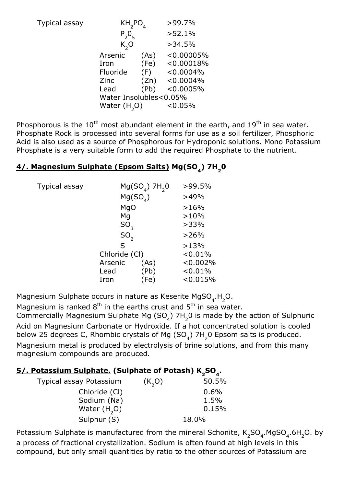|                                     |                             | $>99.7\%$                                                             |
|-------------------------------------|-----------------------------|-----------------------------------------------------------------------|
|                                     |                             | >52.1%                                                                |
| K, O                                |                             | >34.5%                                                                |
| Arsenic<br>Iron<br>Fluoride<br>Zinc | (As)<br>(Fe)<br>(F)<br>(Zn) | < 0.00005%<br>< 0.00018%<br>$< 0.0004\%$<br>$< 0.0004\%$              |
| Lead                                | (Pb)                        | < 0.0005%<br>< 0.05%                                                  |
|                                     |                             | $KH_2$ PO<br>$P_{2}O_{5}$<br>Water Insolubles<0.05%<br>Water $(H, O)$ |

Phosphorous is the  $10^{th}$  most abundant element in the earth, and  $19^{th}$  in sea water. Phosphate Rock is processed into several forms for use as a soil fertilizer, Phosphoric Acid is also used as a source of Phosphorous for Hydroponic solutions. Mono Potassium Phosphate is a very suitable form to add the required Phosphate to the nutrient.

### **4/. Magnesium Sulphate (Epsom Salts) Mg(SO4) 7H20**

| Typical assay |                 | $Mg(SO4)$ 7H <sub>2</sub> 0 | >99.5%   |
|---------------|-----------------|-----------------------------|----------|
|               |                 | Mg(SO <sub>A</sub> )        | >49%     |
|               | MgO             |                             | >16%     |
|               | Mg              |                             | >10%     |
|               | SO <sub>3</sub> |                             | >33%     |
|               | SO,             |                             | >26%     |
|               | $\mathsf{S}$    |                             | >13%     |
|               | Chloride (Cl)   |                             | < 0.01%  |
|               | Arsenic         | (As)                        | < 0.002% |
|               | Lead            | (Pb)                        | < 0.01%  |
|               | Iron            | 'Fe)                        | < 0.015% |

Magnesium Sulphate occurs in nature as Keserite MgSO<sub>4</sub>.H<sub>2</sub>O.

Magnesium is ranked  $8^{th}$  in the earths crust and  $5^{th}$  in sea water.

Commercially Magnesium Sulphate Mg (SO<sub>4</sub>) 7H<sub>2</sub>0 is made by the action of Sulphuric Acid on Magnesium Carbonate or Hydroxide. If a hot concentrated solution is cooled below 25 degrees C, Rhombic crystals of Mg (SO<sub>4</sub>) 7H<sub>2</sub>0 Epsom salts is produced.

Magnesium metal is produced by electrolysis of brine solutions, and from this many magnesium compounds are produced.

## 5/. Potassium Sulphate. (Sulphate of Potash) K<sub>2</sub>SO<sub>4</sub>.

| Typical assay Potassium | (K, O) | 50.5% |
|-------------------------|--------|-------|
| Chloride (CI)           |        | 0.6%  |
| Sodium (Na)             |        | 1.5%  |
| Water $(H, O)$          |        | 0.15% |
| Sulphur (S)             |        | 18.0% |

Potassium Sulphate is manufactured from the mineral Schonite,  $\mathsf{K}_2$ SO<sub>4</sub>.MgSO<sub>4</sub>.6H<sub>2</sub>O. by a process of fractional crystallization. Sodium is often found at high levels in this compound, but only small quantities by ratio to the other sources of Potassium are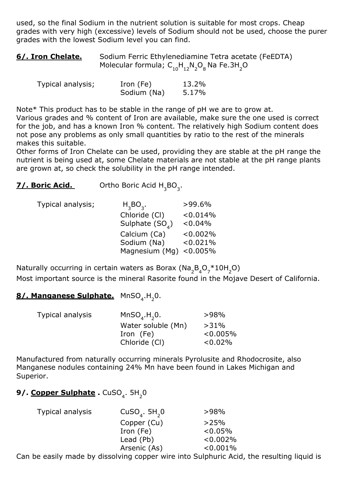used, so the final Sodium in the nutrient solution is suitable for most crops. Cheap grades with very high (excessive) levels of Sodium should not be used, choose the purer grades with the lowest Sodium level you can find.

| 6/. Iron Chelate. | Sodium Ferric Ethylenediamine Tetra acetate (FeEDTA)                |
|-------------------|---------------------------------------------------------------------|
|                   | Molecular formula; $C_{10}H_{12}N_{2}O_{8}$ Na Fe.3H <sub>2</sub> O |

| Typical analysis; | Iron (Fe)   | 13.2% |
|-------------------|-------------|-------|
|                   | Sodium (Na) | 5.17% |

Note\* This product has to be stable in the range of pH we are to grow at.

Various grades and % content of Iron are available, make sure the one used is correct for the job, and has a known Iron % content. The relatively high Sodium content does not pose any problems as only small quantities by ratio to the rest of the minerals makes this suitable.

Other forms of Iron Chelate can be used, providing they are stable at the pH range the nutrient is being used at, some Chelate materials are not stable at the pH range plants are grown at, so check the solubility in the pH range intended.

**7/. Boric Acid.** Ortho Boric Acid H3 BO3 .

| Typical analysis; | $H_3BO_3.$                 | $>99.6\%$   |
|-------------------|----------------------------|-------------|
|                   | Chloride (CI)              | < 0.014%    |
|                   | Sulphate $(SOA)$           | $< 0.04\%$  |
|                   | Calcium (Ca)               | $< 0.002\%$ |
|                   | Sodium (Na)                | < 0.021%    |
|                   | Magnesium (Mg) $< 0.005\%$ |             |

Naturally occurring in certain waters as Borax (Na<sub>2</sub>B<sub>4</sub>O<sub>7</sub>\*10H<sub>2</sub>O) Most important source is the mineral Rasorite found in the Mojave Desert of California.

# 8/. Manganese Sulphate. MnSO<sub>4</sub>.H<sub>2</sub>0.

| Typical analysis | MnSO, H, 0.        | $>98\%$     |
|------------------|--------------------|-------------|
|                  | Water soluble (Mn) | $>31\%$     |
|                  | Iron (Fe)          | $< 0.005\%$ |
|                  | Chloride (CI)      | $0.02\%$    |

Manufactured from naturally occurring minerals Pyrolusite and Rhodocrosite, also Manganese nodules containing 24% Mn have been found in Lakes Michigan and Superior.

## **9/. <u>Copper Sulphate</u> .** CuSO<sub>4</sub>. 5H<sub>2</sub>0

| CuSO <sub>4</sub> . 5H <sub>2</sub> 0 | >98%        |
|---------------------------------------|-------------|
| Copper (Cu)                           | >25%        |
| Iron (Fe)                             | $< 0.05\%$  |
| Lead (Pb)                             | $< 0.002\%$ |
| Arsenic (As)                          | $< 0.001\%$ |
|                                       |             |

Can be easily made by dissolving copper wire into Sulphuric Acid, the resulting liquid is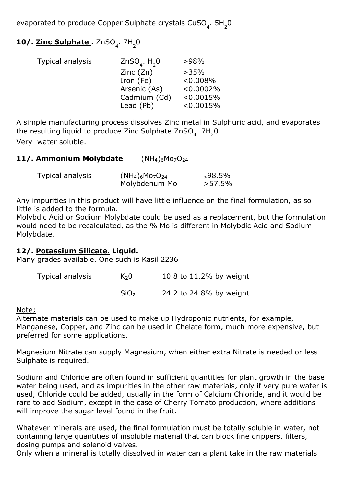evaporated to produce Copper Sulphate crystals CuSO<sub>4</sub>.  $5H_{2}$ 0

# **10/. Zinc Sulphate** . ZnSO<sub>4</sub>. 7H<sub>2</sub>0

| Typical analysis | ZnSO <sub>4</sub> . $H$ <sub>2</sub> 0 | >98%         |
|------------------|----------------------------------------|--------------|
|                  | Zinc(Zn)                               | >35%         |
|                  | Iron (Fe)                              | $< 0.008\%$  |
|                  | Arsenic (As)                           | $< 0.0002\%$ |
|                  | Cadmium (Cd)                           | < 0.0015%    |
|                  | Lead (Pb)                              | < 0.0015%    |

A simple manufacturing process dissolves Zinc metal in Sulphuric acid, and evaporates the resulting liquid to produce Zinc Sulphate ZnSO<sub>4</sub>. 7H<sub>2</sub>0 Very water soluble.

**11/. Ammonium Molybdate** (NH<sub>4</sub>)<sub>6</sub>Mo<sub>7</sub>O<sub>24</sub>

| Typical analysis | $(NH_4)_6M_07O_{24}$ | $>98.5\%$ |
|------------------|----------------------|-----------|
|                  | Molybdenum Mo        | $>57.5\%$ |

Any impurities in this product will have little influence on the final formulation, as so little is added to the formula.

Molybdic Acid or Sodium Molybdate could be used as a replacement, but the formulation would need to be recalculated, as the % Mo is different in Molybdic Acid and Sodium Molybdate.

### **12/. Potassium Silicate. Liquid.**

Many grades available. One such is Kasil 2236

| Typical analysis | K <sub>2</sub> 0 | 10.8 to 11.2% by weight |
|------------------|------------------|-------------------------|
|                  | SiO <sub>2</sub> | 24.2 to 24.8% by weight |

Note;

Alternate materials can be used to make up Hydroponic nutrients, for example, Manganese, Copper, and Zinc can be used in Chelate form, much more expensive, but preferred for some applications.

Magnesium Nitrate can supply Magnesium, when either extra Nitrate is needed or less Sulphate is required.

Sodium and Chloride are often found in sufficient quantities for plant growth in the base water being used, and as impurities in the other raw materials, only if very pure water is used, Chloride could be added, usually in the form of Calcium Chloride, and it would be rare to add Sodium, except in the case of Cherry Tomato production, where additions will improve the sugar level found in the fruit.

Whatever minerals are used, the final formulation must be totally soluble in water, not containing large quantities of insoluble material that can block fine drippers, filters, dosing pumps and solenoid valves.

Only when a mineral is totally dissolved in water can a plant take in the raw materials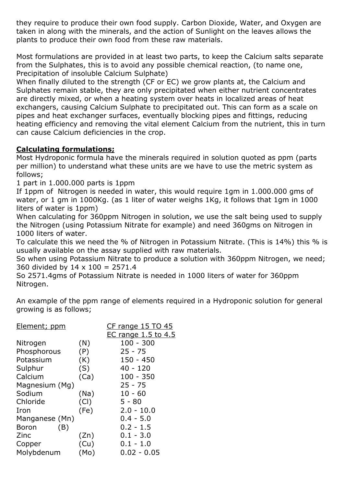they require to produce their own food supply. Carbon Dioxide, Water, and Oxygen are taken in along with the minerals, and the action of Sunlight on the leaves allows the plants to produce their own food from these raw materials.

Most formulations are provided in at least two parts, to keep the Calcium salts separate from the Sulphates, this is to avoid any possible chemical reaction, (to name one, Precipitation of insoluble Calcium Sulphate)

When finally diluted to the strength (CF or EC) we grow plants at, the Calcium and Sulphates remain stable, they are only precipitated when either nutrient concentrates are directly mixed, or when a heating system over heats in localized areas of heat exchangers, causing Calcium Sulphate to precipitated out. This can form as a scale on pipes and heat exchanger surfaces, eventually blocking pipes and fittings, reducing heating efficiency and removing the vital element Calcium from the nutrient, this in turn can cause Calcium deficiencies in the crop.

### **Calculating formulations;**

Most Hydroponic formula have the minerals required in solution quoted as ppm (parts per million) to understand what these units are we have to use the metric system as follows;

1 part in 1.000.000 parts is 1ppm

If 1ppm of Nitrogen is needed in water, this would require 1gm in 1.000.000 gms of water, or 1 gm in 1000Kg. (as 1 liter of water weighs 1Kg, it follows that 1gm in 1000 liters of water is 1ppm)

When calculating for 360ppm Nitrogen in solution, we use the salt being used to supply the Nitrogen (using Potassium Nitrate for example) and need 360gms on Nitrogen in 1000 liters of water.

To calculate this we need the % of Nitrogen in Potassium Nitrate. (This is 14%) this % is usually available on the assay supplied with raw materials.

So when using Potassium Nitrate to produce a solution with 360ppm Nitrogen, we need; 360 divided by  $14 \times 100 = 2571.4$ 

So 2571.4gms of Potassium Nitrate is needed in 1000 liters of water for 360ppm Nitrogen.

An example of the ppm range of elements required in a Hydroponic solution for general growing is as follows;

| Element; ppm   |      | $CF$ range 15 TO 45                       |
|----------------|------|-------------------------------------------|
|                |      | <b>EC range 1.5 to 4.5</b><br>$100 - 300$ |
| Nitrogen       | (N)  |                                           |
| Phosphorous    | (P)  | $25 - 75$                                 |
| Potassium      | (K)  | $150 - 450$                               |
| Sulphur        | (S)  | $40 - 120$                                |
| Calcium        | (Ca) | $100 - 350$                               |
| Magnesium (Mg) |      | $25 - 75$                                 |
| Sodium         | (Na) | $10 - 60$                                 |
| Chloride       | (Cl) | $5 - 80$                                  |
| Iron           | (Fe) | $2.0 - 10.0$                              |
| Manganese (Mn) |      | $0.4 - 5.0$                               |
| (B)<br>Boron   |      | $0.2 - 1.5$                               |
| Zinc           | (Zn) | $0.1 - 3.0$                               |
| Copper         | (Cu) | $0.1 - 1.0$                               |
| Molybdenum     | (Mo) | $0.02 - 0.05$                             |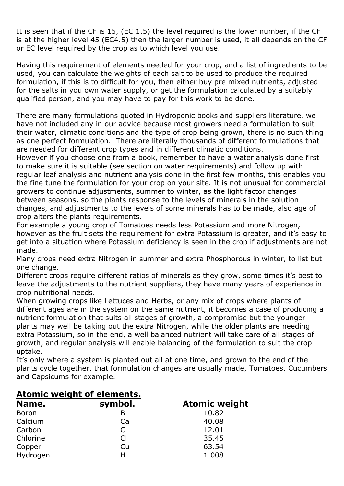It is seen that if the CF is 15, (EC 1.5) the level required is the lower number, if the CF is at the higher level 45 (EC4.5) then the larger number is used, it all depends on the CF or EC level required by the crop as to which level you use.

Having this requirement of elements needed for your crop, and a list of ingredients to be used, you can calculate the weights of each salt to be used to produce the required formulation, if this is to difficult for you, then either buy pre mixed nutrients, adjusted for the salts in you own water supply, or get the formulation calculated by a suitably qualified person, and you may have to pay for this work to be done.

There are many formulations quoted in Hydroponic books and suppliers literature, we have not included any in our advice because most growers need a formulation to suit their water, climatic conditions and the type of crop being grown, there is no such thing as one perfect formulation. There are literally thousands of different formulations that are needed for different crop types and in different climatic conditions.

However if you choose one from a book, remember to have a water analysis done first to make sure it is suitable (see section on water requirements) and follow up with regular leaf analysis and nutrient analysis done in the first few months, this enables you the fine tune the formulation for your crop on your site. It is not unusual for commercial growers to continue adjustments, summer to winter, as the light factor changes between seasons, so the plants response to the levels of minerals in the solution changes, and adjustments to the levels of some minerals has to be made, also age of crop alters the plants requirements.

For example a young crop of Tomatoes needs less Potassium and more Nitrogen, however as the fruit sets the requirement for extra Potassium is greater, and it's easy to get into a situation where Potassium deficiency is seen in the crop if adjustments are not made.

Many crops need extra Nitrogen in summer and extra Phosphorous in winter, to list but one change.

Different crops require different ratios of minerals as they grow, some times it's best to leave the adjustments to the nutrient suppliers, they have many years of experience in crop nutritional needs.

When growing crops like Lettuces and Herbs, or any mix of crops where plants of different ages are in the system on the same nutrient, it becomes a case of producing a nutrient formulation that suits all stages of growth, a compromise but the younger plants may well be taking out the extra Nitrogen, while the older plants are needing extra Potassium, so in the end, a well balanced nutrient will take care of all stages of growth, and regular analysis will enable balancing of the formulation to suit the crop uptake.

It's only where a system is planted out all at one time, and grown to the end of the plants cycle together, that formulation changes are usually made, Tomatoes, Cucumbers and Capsicums for example.

| ALUINIC WEIGHL UI EIEINEILS. |         |                      |
|------------------------------|---------|----------------------|
| Name.                        | symbol. | <b>Atomic weight</b> |
| <b>Boron</b>                 |         | 10.82                |
| Calcium                      | Ca      | 40.08                |
| Carbon                       | C.      | 12.01                |
| Chlorine                     | Cl      | 35.45                |
| Copper                       | Cu      | 63.54                |
| Hydrogen                     | Н       | 1.008                |

## **Atomic weight of elements.**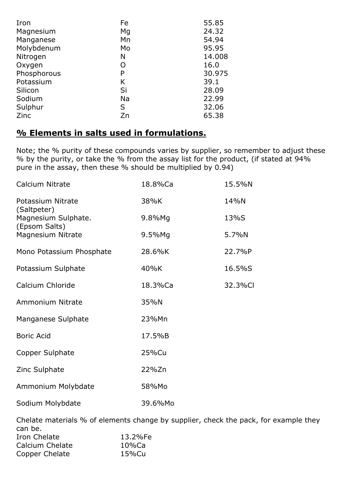| Iron        | Fe        | 55.85  |
|-------------|-----------|--------|
| Magnesium   | Mg        | 24.32  |
| Manganese   | Mn        | 54.94  |
| Molybdenum  | Mo        | 95.95  |
| Nitrogen    | N         | 14.008 |
| Oxygen      | O         | 16.0   |
| Phosphorous | P         | 30.975 |
| Potassium   | K         | 39.1   |
| Silicon     | Si        | 28.09  |
| Sodium      | <b>Na</b> | 22.99  |
| Sulphur     | S         | 32.06  |
| Zinc        | Zn        | 65.38  |

### **% Elements in salts used in formulations.**

Note; the % purity of these compounds varies by supplier, so remember to adjust these % by the purity, or take the % from the assay list for the product, (if stated at 94% pure in the assay, then these % should be multiplied by 0.94)

| Calcium Nitrate                      | 18.8%Ca   | 15.5%N  |
|--------------------------------------|-----------|---------|
| Potassium Nitrate<br>(Saltpeter)     | 38%K      | 14%N    |
| Magnesium Sulphate.<br>(Epsom Salts) | 9.8%Mg    | 13%S    |
| Magnesium Nitrate                    | $9.5%$ Mg | 5.7%N   |
| Mono Potassium Phosphate             | 28.6%K    | 22.7%P  |
| Potassium Sulphate                   | 40%K      | 16.5%S  |
| Calcium Chloride                     | 18.3%Ca   | 32.3%Cl |
| <b>Ammonium Nitrate</b>              | 35%N      |         |
| Manganese Sulphate                   | 23%Mn     |         |
| <b>Boric Acid</b>                    | 17.5%B    |         |
| Copper Sulphate                      | 25%Cu     |         |
| Zinc Sulphate                        | 22%Zn     |         |
| Ammonium Molybdate                   | 58%Mo     |         |
| Sodium Molybdate                     | 39.6%Mo   |         |

Chelate materials % of elements change by supplier, check the pack, for example they can be. Iron Chelate 13.2%Fe Calcium Chelate 10%Ca Copper Chelate 15%Cu